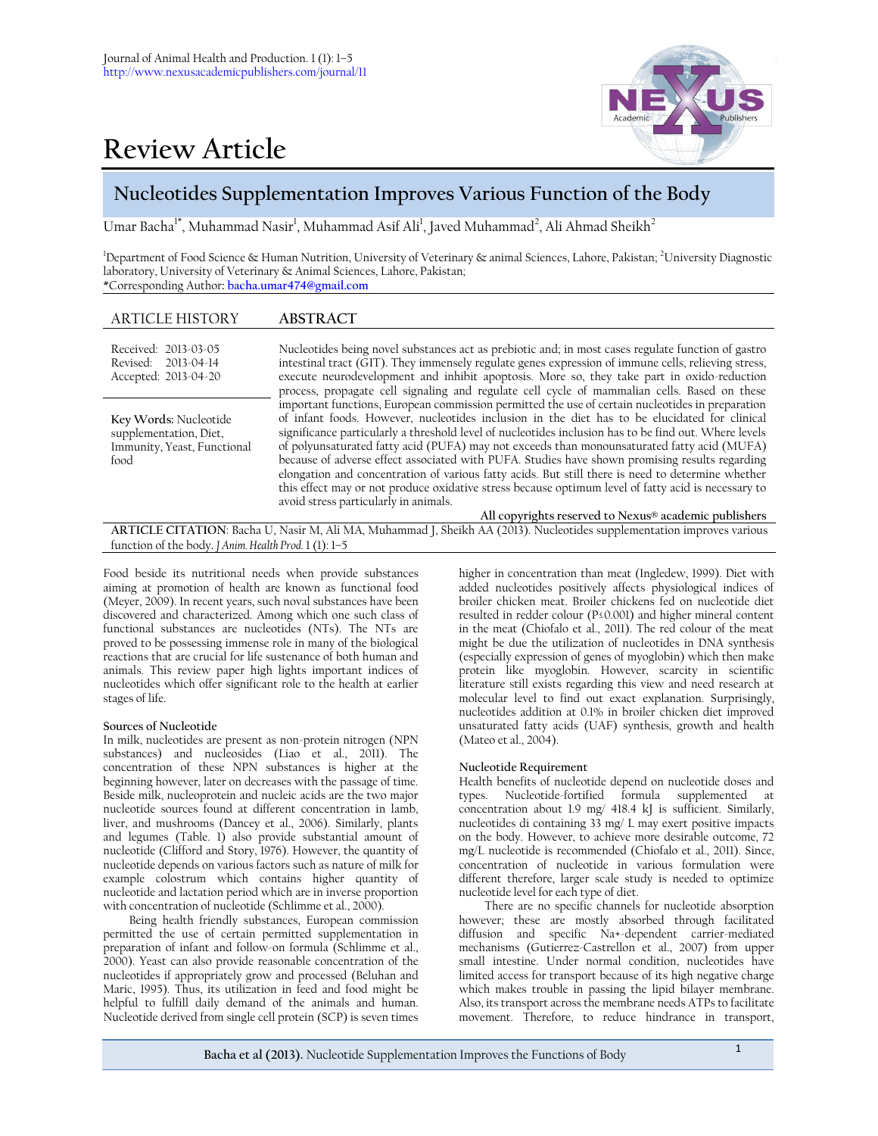# **Review Article**



# **Nucleotides Supplementation Improves Various Function of the Body**

Umar Bacha<sup>1\*</sup>, Muhammad Nasir<sup>1</sup>, Muhammad Asif Ali<sup>1</sup>, Javed Muhammad<sup>2</sup>, Ali Ahmad Sheikh<sup>2</sup>

 $^{\rm 1}$ Department of Food Science & Human Nutrition, University of Veterinary & animal Sciences, Lahore, Pakistan;  $^{\rm 2}$ University Diagnostic laboratory, University of Veterinary & Animal Sciences, Lahore, Pakistan; \*Corresponding Author**[: bacha.umar474@gmail.com](mailto:bacha.umar474@gmail.com)** 

# ARTICLE HISTORY **ABSTRACT**

| Received: 2013-03-05<br>Revised: 2013-04-14<br>Accepted: 2013-04-20                    | Nucleotides being novel substances act as prebiotic and; in most cases regulate function of gastro<br>intestinal tract (GIT). They immensely regulate genes expression of immune cells, relieving stress,<br>execute neurodevelopment and inhibit apoptosis. More so, they take part in oxido-reduction<br>process, propagate cell signaling and regulate cell cycle of mammalian cells. Based on these                                                                                                                                                                                                                                                                                                                                                                                                                   |
|----------------------------------------------------------------------------------------|---------------------------------------------------------------------------------------------------------------------------------------------------------------------------------------------------------------------------------------------------------------------------------------------------------------------------------------------------------------------------------------------------------------------------------------------------------------------------------------------------------------------------------------------------------------------------------------------------------------------------------------------------------------------------------------------------------------------------------------------------------------------------------------------------------------------------|
| Key Words: Nucleotide<br>supplementation, Diet,<br>Immunity, Yeast, Functional<br>food | important functions, European commission permitted the use of certain nucleotides in preparation<br>of infant foods. However, nucleotides inclusion in the diet has to be elucidated for clinical<br>significance particularly a threshold level of nucleotides inclusion has to be find out. Where levels<br>of polyunsaturated fatty acid (PUFA) may not exceeds than monounsaturated fatty acid (MUFA)<br>because of adverse effect associated with PUFA. Studies have shown promising results regarding<br>elongation and concentration of various fatty acids. But still there is need to determine whether<br>this effect may or not produce oxidative stress because optimum level of fatty acid is necessary to<br>avoid stress particularly in animals.<br>All copyrights reserved to Nexus® academic publishers |

**ARTICLE CITATION**: Bacha U, Nasir M, Ali MA, Muhammad J, Sheikh AA (2013). Nucleotides supplementation improves various function of the body**.** *J Anim. Health Prod.* 1 (1): 1–5

Food beside its nutritional needs when provide substances aiming at promotion of health are known as functional food (Meyer, 2009). In recent years, such noval substances have been discovered and characterized. Among which one such class of functional substances are nucleotides (NTs). The NTs are proved to be possessing immense role in many of the biological reactions that are crucial for life sustenance of both human and animals. This review paper high lights important indices of nucleotides which offer significant role to the health at earlier stages of life.

# **Sources of Nucleotide**

In milk, nucleotides are present as non-protein nitrogen (NPN substances) and nucleosides (Liao et al., 2011). The concentration of these NPN substances is higher at the beginning however, later on decreases with the passage of time. Beside milk, nucleoprotein and nucleic acids are the two major nucleotide sources found at different concentration in lamb, liver, and mushrooms (Dancey et al., 2006). Similarly, plants and legumes (Table. 1) also provide substantial amount of nucleotide (Clifford and Story, 1976). However, the quantity of nucleotide depends on various factors such as nature of milk for example colostrum which contains higher quantity of nucleotide and lactation period which are in inverse proportion with concentration of nucleotide (Schlimme et al., 2000).

Being health friendly substances, European commission permitted the use of certain permitted supplementation in preparation of infant and follow-on formula (Schlimme et al., 2000). Yeast can also provide reasonable concentration of the nucleotides if appropriately grow and processed (Beluhan and Maric, 1995). Thus, its utilization in feed and food might be helpful to fulfill daily demand of the animals and human. Nucleotide derived from single cell protein (SCP) is seven times

higher in concentration than meat (Ingledew, 1999). Diet with added nucleotides positively affects physiological indices of broiler chicken meat. Broiler chickens fed on nucleotide diet resulted in redder colour (P≤0.001) and higher mineral content in the meat (Chiofalo et al., 2011). The red colour of the meat might be due the utilization of nucleotides in DNA synthesis (especially expression of genes of myoglobin) which then make protein like myoglobin. However, scarcity in scientific literature still exists regarding this view and need research at molecular level to find out exact explanation. Surprisingly, nucleotides addition at 0.1% in broiler chicken diet improved unsaturated fatty acids (UAF) synthesis, growth and health (Mateo et al., 2004).

# **Nucleotide Requirement**

Health benefits of nucleotide depend on nucleotide doses and types. Nucleotide-fortified formula supplemented at concentration about 1.9 mg/ 418.4 kJ is sufficient. Similarly, nucleotides di containing 33 mg/ L may exert positive impacts on the body. However, to achieve more desirable outcome, 72 mg/L nucleotide is recommended (Chiofalo et al., 2011). Since, concentration of nucleotide in various formulation were different therefore, larger scale study is needed to optimize nucleotide level for each type of diet.

There are no specific channels for nucleotide absorption however; these are mostly absorbed through facilitated diffusion and specific Na+-dependent carrier-mediated mechanisms (Gutierrez-Castrellon et al., 2007) from upper small intestine. Under normal condition, nucleotides have limited access for transport because of its high negative charge which makes trouble in passing the lipid bilayer membrane. Also, its transport across the membrane needs ATPs to facilitate movement. Therefore, to reduce hindrance in transport,

**Bacha et al (2013).** Nucleotide Supplementation Improves the Functions of Body <sup>1</sup>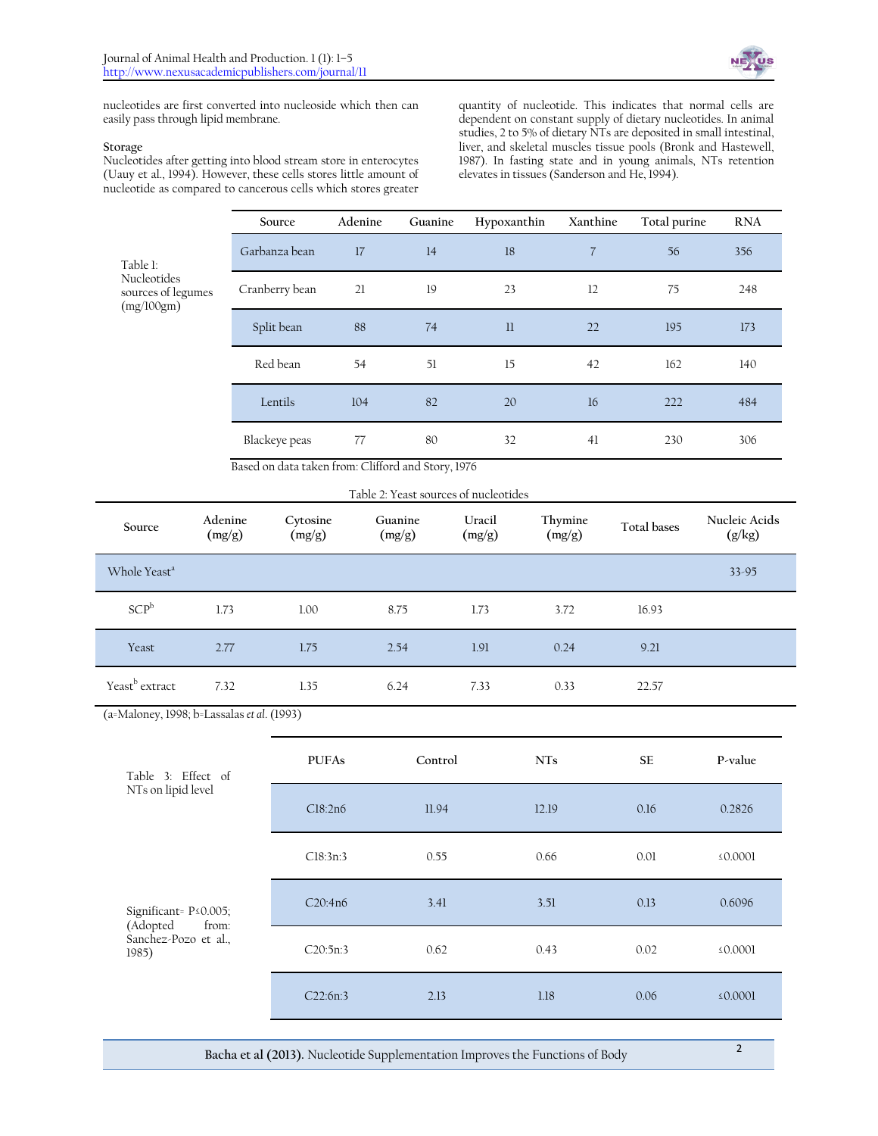

nucleotides are first converted into nucleoside which then can easily pass through lipid membrane.

#### **Storage**

Nucleotides after getting into blood stream store in enterocytes (Uauy et al., 1994). However, these cells stores little amount of nucleotide as compared to cancerous cells which stores greater

quantity of nucleotide. This indicates that normal cells are dependent on constant supply of dietary nucleotides. In animal studies, 2 to 5% of dietary NTs are deposited in small intestinal, liver, and skeletal muscles tissue pools (Bronk and Hastewell, 1987). In fasting state and in young animals, NTs retention elevates in tissues (Sanderson and He, 1994).

|                                                             | Source         | Adenine | Guanine | Hypoxanthin | Xanthine       | Total purine | <b>RNA</b> |
|-------------------------------------------------------------|----------------|---------|---------|-------------|----------------|--------------|------------|
| Table 1:<br>Nucleotides<br>sources of legumes<br>(mg/100gm) | Garbanza bean  | 17      | 14      | 18          | $\overline{7}$ | 56           | 356        |
|                                                             | Cranberry bean | 21      | 19      | 23          | 12             | 75           | 248        |
|                                                             | Split bean     | 88      | 74      | 11          | 22             | 195          | 173        |
|                                                             | Red bean       | 54      | 51      | 15          | 42             | 162          | 140        |
|                                                             | Lentils        | 104     | 82      | 20          | 16             | 222          | 484        |
|                                                             | Blackeye peas  | 77      | 80      | 32          | 41             | 230          | 306        |

Based on data taken from: Clifford and Story, 1976

| Table 2: Yeast sources of nucleotides |  |
|---------------------------------------|--|
|---------------------------------------|--|

| Source                     | Adenine<br>(mg/g) | Cytosine<br>(mg/g) | Guanine<br>(mg/g) | Uracil<br>(mg/g) | Thymine<br>(mg/g) | Total bases | Nucleic Acids<br>(g/kg) |
|----------------------------|-------------------|--------------------|-------------------|------------------|-------------------|-------------|-------------------------|
| Whole Yeast <sup>a</sup>   |                   |                    |                   |                  |                   |             | $33 - 95$               |
| SCP <sup>b</sup>           | 1.73              | 1.00               | 8.75              | 1.73             | 3.72              | 16.93       |                         |
| Yeast                      | 2.77              | 1.75               | 2.54              | 1.91             | 0.24              | 9.21        |                         |
| Yeast <sup>b</sup> extract | 7.32              | 1.35               | 6.24              | 7.33             | 0.33              | 22.57       |                         |

(a=Maloney, 1998; b=Lassalas *et al*. (1993)

| Table 3: Effect of<br>NTs on lipid level                                      | <b>PUFAs</b> | Control | <b>NTs</b> | <b>SE</b> | P-value       |
|-------------------------------------------------------------------------------|--------------|---------|------------|-----------|---------------|
|                                                                               | Cl8:2n6      | 11.94   | 12.19      | 0.16      | 0.2826        |
|                                                                               | Cl8:3n:3     | 0.55    | 0.66       | 0.01      | $\leq 0.0001$ |
| Significant= P < 0.005;<br>(Adopted<br>from:<br>Sanchez-Pozo et al.,<br>1985) | C20:4n6      | 3.41    | 3.51       | 0.13      | 0.6096        |
|                                                                               | C20:5n:3     | 0.62    | 0.43       | 0.02      | $\leq 0.0001$ |
|                                                                               | C22:6n:3     | 2.13    | 1.18       | 0.06      | $\leq 0.0001$ |

**Bacha et al (2013).** Nucleotide Supplementation Improves the Functions of Body <sup>2</sup>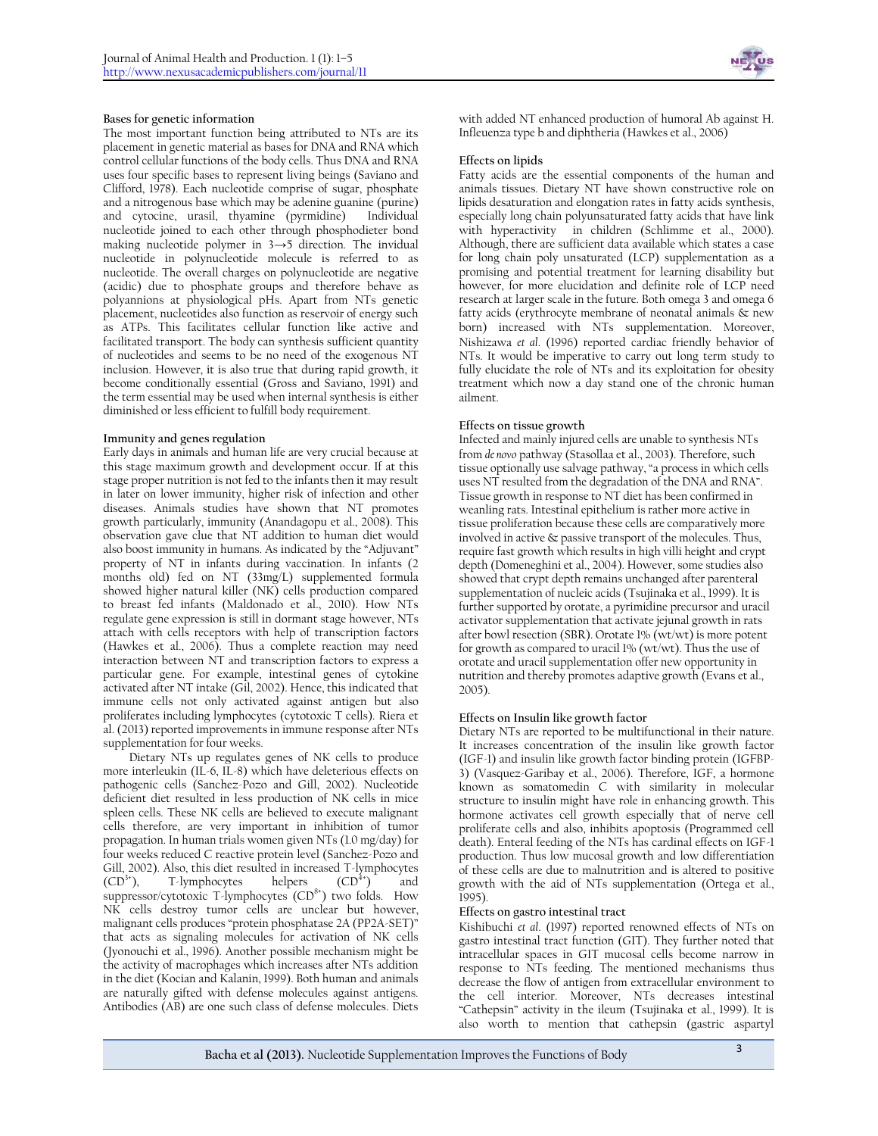### **Bases for genetic information**

The most important function being attributed to NTs are its placement in genetic material as bases for DNA and RNA which control cellular functions of the body cells. Thus DNA and RNA uses four specific bases to represent living beings (Saviano and Clifford, 1978). Each nucleotide comprise of sugar, phosphate and a nitrogenous base which may be adenine guanine (purine) and cytocine, urasil, thyamine (pyrmidine) Individual nucleotide joined to each other through phosphodieter bond making nucleotide polymer in 3→5 direction. The invidual nucleotide in polynucleotide molecule is referred to as nucleotide. The overall charges on polynucleotide are negative (acidic) due to phosphate groups and therefore behave as polyannions at physiological pHs. Apart from NTs genetic placement, nucleotides also function as reservoir of energy such as ATPs. This facilitates cellular function like active and facilitated transport. The body can synthesis sufficient quantity of nucleotides and seems to be no need of the exogenous NT inclusion. However, it is also true that during rapid growth, it become conditionally essential (Gross and Saviano, 1991) and the term essential may be used when internal synthesis is either diminished or less efficient to fulfill body requirement.

#### **Immunity and genes regulation**

Early days in animals and human life are very crucial because at this stage maximum growth and development occur. If at this stage proper nutrition is not fed to the infants then it may result in later on lower immunity, higher risk of infection and other diseases. Animals studies have shown that NT promotes growth particularly, immunity (Anandagopu et al., 2008). This observation gave clue that NT addition to human diet would also boost immunity in humans. As indicated by the "Adjuvant" property of NT in infants during vaccination. In infants (2 months old) fed on NT (33mg/L) supplemented formula showed higher natural killer (NK) cells production compared to breast fed infants (Maldonado et al., 2010). How NTs regulate gene expression is still in dormant stage however, NTs attach with cells receptors with help of transcription factors (Hawkes et al., 2006). Thus a complete reaction may need interaction between NT and transcription factors to express a particular gene. For example, intestinal genes of cytokine activated after NT intake (Gil, 2002). Hence, this indicated that immune cells not only activated against antigen but also proliferates including lymphocytes (cytotoxic T cells). Riera et al. (2013) reported improvements in immune response after NTs supplementation for four weeks.

Dietary NTs up regulates genes of NK cells to produce more interleukin (IL-6, IL-8) which have deleterious effects on pathogenic cells (Sanchez-Pozo and Gill, 2002). Nucleotide deficient diet resulted in less production of NK cells in mice spleen cells. These NK cells are believed to execute malignant cells therefore, are very important in inhibition of tumor propagation. In human trials women given NTs (1.0 mg/day) for four weeks reduced C reactive protein level (Sanchez-Pozo and Gill, 2002). Also, this diet resulted in increased T-lymphocytes (CD<sup>3+</sup>) and GU<sup>3+</sup>) and T-lymphocytes suppressor/cytotoxic T-lymphocytes  $(CD<sup>8+</sup>)$  two folds. How NK cells destroy tumor cells are unclear but however, malignant cells produces "protein phosphatase 2A (PP2A-SET)" that acts as signaling molecules for activation of NK cells (Jyonouchi et al., 1996). Another possible mechanism might be the activity of macrophages which increases after NTs addition in the diet (Kocian and Kalanin, 1999). Both human and animals are naturally gifted with defense molecules against antigens. Antibodies (AB) are one such class of defense molecules. Diets



with added NT enhanced production of humoral Ab against H. Infleuenza type b and diphtheria (Hawkes et al., 2006)

#### **Effects on lipids**

Fatty acids are the essential components of the human and animals tissues. Dietary NT have shown constructive role on lipids desaturation and elongation rates in fatty acids synthesis, especially long chain polyunsaturated fatty acids that have link with hyperactivity in children (Schlimme et al., 2000). Although, there are sufficient data available which states a case for long chain poly unsaturated (LCP) supplementation as a promising and potential treatment for learning disability but however, for more elucidation and definite role of LCP need research at larger scale in the future. Both omega 3 and omega 6 fatty acids (erythrocyte membrane of neonatal animals & new born) increased with NTs supplementation. Moreover, Nishizawa *et al*. (1996) reported cardiac friendly behavior of NTs. It would be imperative to carry out long term study to fully elucidate the role of NTs and its exploitation for obesity treatment which now a day stand one of the chronic human ailment.

#### **Effects on tissue growth**

Infected and mainly injured cells are unable to synthesis NTs from *de novo* pathway (Stasollaa et al., 2003). Therefore, such tissue optionally use salvage pathway, "a process in which cells uses NT resulted from the degradation of the DNA and RNA". Tissue growth in response to NT diet has been confirmed in weanling rats. Intestinal epithelium is rather more active in tissue proliferation because these cells are comparatively more involved in active & passive transport of the molecules. Thus, require fast growth which results in high villi height and crypt depth (Domeneghini et al., 2004). However, some studies also showed that crypt depth remains unchanged after parenteral supplementation of nucleic acids (Tsujinaka et al., 1999). It is further supported by orotate, a pyrimidine precursor and uracil activator supplementation that activate jejunal growth in rats after bowl resection (SBR). Orotate 1% (wt/wt) is more potent for growth as compared to uracil 1% (wt/wt). Thus the use of orotate and uracil supplementation offer new opportunity in nutrition and thereby promotes adaptive growth (Evans et al., 2005).

# **Effects on Insulin like growth factor**

Dietary NTs are reported to be multifunctional in their nature. It increases concentration of the insulin like growth factor (IGF-1) and insulin like growth factor binding protein (IGFBP-3) (Vasquez-Garibay et al., 2006). Therefore, IGF, a hormone known as somatomedin C with similarity in molecular structure to insulin might have role in enhancing growth. This hormone activates cell growth especially that of nerve cell proliferate cells and also, inhibits apoptosis (Programmed cell death). Enteral feeding of the NTs has cardinal effects on IGF-1 production. Thus low mucosal growth and low differentiation of these cells are due to malnutrition and is altered to positive growth with the aid of NTs supplementation (Ortega et al.,  $1995)$ 

#### **Effects on gastro intestinal tract**

Kishibuchi *et al*. (1997) reported renowned effects of NTs on gastro intestinal tract function (GIT). They further noted that intracellular spaces in GIT mucosal cells become narrow in response to NTs feeding. The mentioned mechanisms thus decrease the flow of antigen from extracellular environment to the cell interior. Moreover, NTs decreases intestinal "Cathepsin" activity in the ileum (Tsujinaka et al., 1999). It is also worth to mention that cathepsin (gastric aspartyl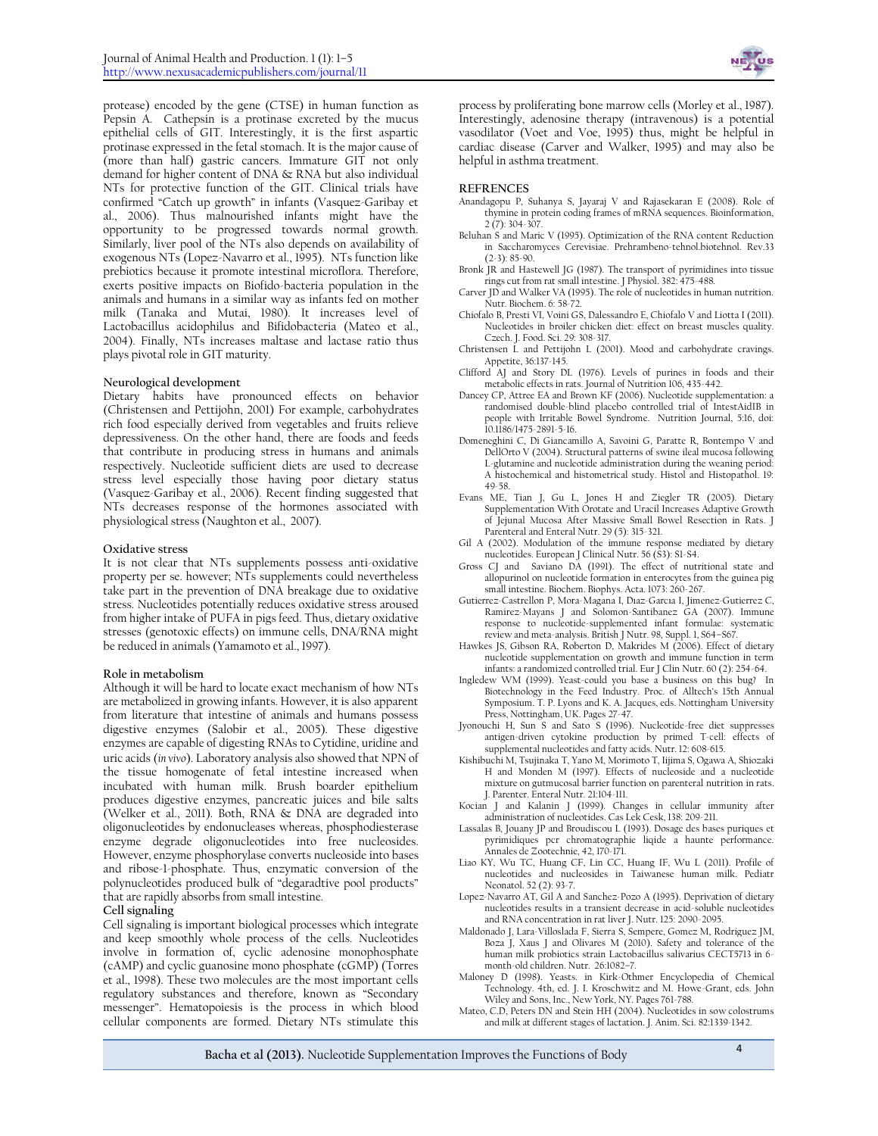

protease) encoded by the gene (CTSE) in human function as Pepsin A. Cathepsin is a protinase excreted by the mucus epithelial cells of GIT. Interestingly, it is the first aspartic protinase expressed in the fetal stomach. It is the major cause of (more than half) gastric cancers. Immature GIT not only demand for higher content of DNA & RNA but also individual NTs for protective function of the GIT. Clinical trials have confirmed "Catch up growth" in infants (Vasquez-Garibay et al., 2006). Thus malnourished infants might have the opportunity to be progressed towards normal growth. Similarly, liver pool of the NTs also depends on availability of exogenous NTs (Lopez-Navarro et al., 1995). NTs function like prebiotics because it promote intestinal microflora. Therefore, exerts positive impacts on Biofido-bacteria population in the animals and humans in a similar way as infants fed on mother milk (Tanaka and Mutai, 1980). It increases level of Lactobacillus acidophilus and Bifidobacteria (Mateo et al., 2004). Finally, NTs increases maltase and lactase ratio thus plays pivotal role in GIT maturity.

#### **Neurological development**

Dietary habits have pronounced effects on behavior (Christensen and Pettijohn, 2001) For example, carbohydrates rich food especially derived from vegetables and fruits relieve depressiveness. On the other hand, there are foods and feeds that contribute in producing stress in humans and animals respectively. Nucleotide sufficient diets are used to decrease stress level especially those having poor dietary status (Vasquez-Garibay et al., 2006). Recent finding suggested that NTs decreases response of the hormones associated with physiological stress (Naughton et al., 2007).

#### **Oxidative stress**

It is not clear that NTs supplements possess anti-oxidative property per se. however; NTs supplements could nevertheless take part in the prevention of DNA breakage due to oxidative stress. Nucleotides potentially reduces oxidative stress aroused from higher intake of PUFA in pigs feed. Thus, dietary oxidative stresses (genotoxic effects) on immune cells, DNA/RNA might be reduced in animals (Yamamoto et al., 1997).

#### **Role in metabolism**

Although it will be hard to locate exact mechanism of how NTs are metabolized in growing infants. However, it is also apparent from literature that intestine of animals and humans possess digestive enzymes (Salobir et al., 2005). These digestive enzymes are capable of digesting RNAs to Cytidine, uridine and uric acids (*in vivo*). Laboratory analysis also showed that NPN of the tissue homogenate of fetal intestine increased when incubated with human milk. Brush boarder epithelium produces digestive enzymes, pancreatic juices and bile salts (Welker et al., 2011). Both, RNA & DNA are degraded into oligonucleotides by endonucleases whereas, phosphodiesterase enzyme degrade oligonucleotides into free nucleosides. However, enzyme phosphorylase converts nucleoside into bases and ribose-1-phosphate. Thus, enzymatic conversion of the polynucleotides produced bulk of "degaradtive pool products" that are rapidly absorbs from small intestine.

**Cell signaling**

Cell signaling is important biological processes which integrate and keep smoothly whole process of the cells. Nucleotides involve in formation of, cyclic adenosine monophosphate (cAMP) and cyclic guanosine mono phosphate (cGMP) (Torres et al., 1998). These two molecules are the most important cells regulatory substances and therefore, known as "Secondary messenger". Hematopoiesis is the process in which blood cellular components are formed. Dietary NTs stimulate this

process by proliferating bone marrow cells (Morley et al., 1987). Interestingly, adenosine therapy (intravenous) is a potential vasodilator (Voet and Voe, 1995) thus, might be helpful in cardiac disease (Carver and Walker, 1995) and may also be helpful in asthma treatment.

#### **REFRENCES**

- Anandagopu P, Suhanya S, Jayaraj V and Rajasekaran E (2008). Role of thymine in protein coding frames of mRNA sequences. Bioinformation, 2 (7): 304-307.
- Beluhan S and Maric V (1995). Optimization of the RNA content Reduction in Saccharomyces Cerevisiae. Prehrambeno-tehnol.biotehnol. Rev.33 (2-3): 85-90.
- Bronk JR and Hastewell JG (1987). The transport of pyrimidines into tissue rings cut from rat small intestine. J Physiol. 382: 475-488.
- Carver JD and Walker VA (1995). The role of nucleotides in human nutrition. Nutr. Biochem. 6: 58-72.
- Chiofalo B, Presti VI, Voini GS, Dalessandro E, Chiofalo V and Liotta I (2011). Nucleotides in broiler chicken diet: effect on breast muscles quality. Czech. J. Food. Sci. 29: 308-317.
- Christensen L and Pettijohn L (2001). Mood and carbohydrate cravings. Appetite, 36:137-145.
- Clifford AJ and Story DL (1976). Levels of purines in foods and their metabolic effects in rats. Journal of Nutrition 106, 435-442.
- Dancey CP, Attree EA and Brown KF (2006). Nucleotide supplementation: a randomised double-blind placebo controlled trial of IntestAidIB in people with Irritable Bowel Syndrome. Nutrition Journal, 5:16, doi: 10.1186/1475-2891-5-16.
- Domeneghini C, Di Giancamillo A, Savoini G, Paratte R, Bontempo V and DellOrto V (2004). Structural patterns of swine ileal mucosa following L-glutamine and nucleotide administration during the weaning period: A histochemical and histometrical study. Histol and Histopathol. 19: 49-58.
- Evans ME, Tian J, Gu L, Jones H and Ziegler TR (2005). Dietary Supplementation With Orotate and Uracil Increases Adaptive Growth of Jejunal Mucosa After Massive Small Bowel Resection in Rats. J Parenteral and Enteral Nutr. 29 (5): 315-321.
- Gil A (2002). Modulation of the immune response mediated by dietary nucleotides. European J Clinical Nutr. 56 (S3): S1-S4.
- Gross CJ and Saviano DA (1991). The effect of nutritional state and allopurinol on nucleotide formation in enterocytes from the guinea pig small intestine. Biochem. Biophys. Acta. 1073: 260-267.
- Gutierrez-Castrellon P, Mora-Magana I, Dıaz-Garcıa I, Jimenez-Gutierrez C, Ramirez-Mayans J and Solomon-Santibanez GA (2007). Immune response to nucleotide-supplemented infant formulae: systematic review and meta-analysis. British J Nutr. 98, Suppl. 1, S64–S67.
- Hawkes JS, Gibson RA, Roberton D, Makrides M (2006). Effect of dietary nucleotide supplementation on growth and immune function in term infants: a randomized controlled trial. Eur J Clin Nutr. 60 (2): 254-64.
- Ingledew WM (1999). Yeast-could you base a business on this bug? In Biotechnology in the Feed Industry. Proc. of Alltech's 15th Annual Symposium. T. P. Lyons and K. A. Jacques, eds. Nottingham University Press, Nottingham, UK. Pages 27-47.
- Jyonouchi H, Sun S and Sato S (1996). Nucleotide-free diet suppresses antigen-driven cytokine production by primed T-cell: effects of supplemental nucleotides and fatty acids. Nutr. 12: 608-615.
- Kishibuchi M, Tsujinaka T, Yano M, Morimoto T, Iijima S, Ogawa A, Shiozaki H and Monden M (1997). Effects of nucleoside and a nucleotide mixture on gutmucosal barrier function on parenteral nutrition in rats. J. Parenter. Enteral Nutr. 21:104-111.
- Kocian J and Kalanin J (1999). Changes in cellular immunity after administration of nucleotides. Cas Lek Cesk, 138: 209-211.
- Lassalas B, Jouany JP and Broudiscou L (1993). Dosage des bases puriques et pyrimidiques pcr chromatographie liqide a haunte performance. Annales de Zootechnie, 42, 170-171.
- Liao KY, Wu TC, Huang CF, Lin CC, Huang IF, Wu L (2011). Profile of nucleotides and nucleosides in Taiwanese human milk. Pediatr Neonatol. 52 (2): 93-7.
- Lopez-Navarro AT, Gil A and Sanchez-Pozo A (1995). Deprivation of dietary nucleotides results in a transient decrease in acid-soluble nucleotides and RNA concentration in rat liver J. Nutr. 125: 2090-2095.
- Maldonado J, Lara-Villoslada F, Sierra S, Sempere, Gomez M, Rodriguez JM, Boza J, Xaus J and Olivares M (2010). Safety and tolerance of the human milk probiotics strain Lactobacillus salivarius CECT5713 in 6 month-old children. Nutr. 26:1082–7.
- Maloney D (1998). Yeasts. in Kirk-Othmer Encyclopedia of Chemical Technology. 4th, ed. J. I. Kroschwitz and M. Howe-Grant, eds. John Wiley and Sons, Inc., New York, NY. Pages 761-788.
- Mateo, C.D, Peters DN and Stein HH (2004). Nucleotides in sow colostrums and milk at different stages of lactation. J. Anim. Sci. 82:1339-1342.